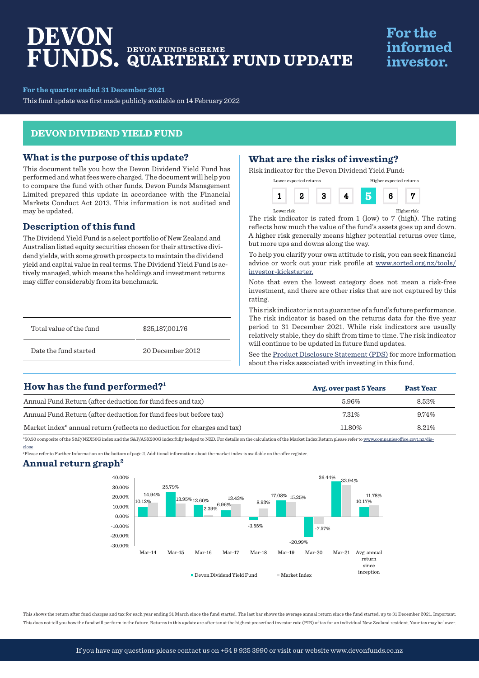# DEVON **DEVON FUNDS SCHEME QUARTERLY FUND UPDATE**

# **For the** informed investor.

**For the quarter ended 31 December 2021**

This fund update was first made publicly available on 14 February 2022

## **DEVON DIVIDEND YIELD FUND**

### **What is the purpose of this update?**

This document tells you how the Devon Dividend Yield Fund has performed and what fees were charged. The document will help you to compare the fund with other funds. Devon Funds Management Limited prepared this update in accordance with the Financial Markets Conduct Act 2013. This information is not audited and may be updated.

# **Description of this fund**

The Dividend Yield Fund is a select portfolio of New Zealand and Australian listed equity securities chosen for their attractive dividend yields, with some growth prospects to maintain the dividend yield and capital value in real terms. The Dividend Yield Fund is actively managed, which means the holdings and investment returns may differ considerably from its benchmark.

| Total value of the fund | \$25,187,001.76  |
|-------------------------|------------------|
| Date the fund started   | 20 December 2012 |

# **What are the risks of investing?**

Risk indicator for the Devon Dividend Yield Fund:

| Lower expected returns |  | Higher expected returns |  |
|------------------------|--|-------------------------|--|
|                        |  |                         |  |

Lower risk Higher risk

The risk indicator is rated from 1 (low) to 7 (high). The rating reflects how much the value of the fund's assets goes up and down. A higher risk generally means higher potential returns over time, but more ups and downs along the way.

To help you clarify your own attitude to risk, you can seek financial advice or work out your risk profile at www.sorted.org.nz/tools/ investor-kickstarter.

Note that even the lowest category does not mean a risk-free investment, and there are other risks that are not captured by this rating.

This risk indicator is not a guarantee of a fund's future performance. The risk indicator is based on the returns data for the five year period to 31 December 2021. While risk indicators are usually relatively stable, they do shift from time to time. The risk indicator will continue to be updated in future fund updates.

See the [Product Disclosure Statement \(PDS\)](https://devonfunds.co.nz/sites/default/files/Devon%20Investment%20Funds%20Product%20Disclosure%20Statement.pdf) for more information about the risks associated with investing in this fund.

**Avg. over past 5 Years Past Year**

# **How has the fund performed?1**

| Annual Fund Return (after deduction for fund fees and tax)                          | 5.96%    | 8.52% |
|-------------------------------------------------------------------------------------|----------|-------|
| Annual Fund Return (after deduction for fund fees but before tax)                   | $7.31\%$ | 9.74% |
| Market index <sup>*</sup> annual return (reflects no deduction for charges and tax) | 11.80%   | 8.21% |

\*50:50 composite of the S&P/NZX50G index and the S&P/ASX200G index fully hedged to NZD. For details on the calculation of the Market Index Return please refer to www.companiesoffice.govt.nz/disclose

1 Please refer to Further Information on the bottom of page 2. Additional information about the market index is available on the offer register.

### **Annual return graph2**



This shows the return after fund charges and tax for each year ending 31 March since the fund started. The last bar shows the average annual return since the fund started, up to 31 December 2021. Important: This does not tell you how the fund will perform in the future. Returns in this update are after tax at the highest prescribed investor rate (PIR) of tax for an individual New Zealand resident. Your tax may be lower.